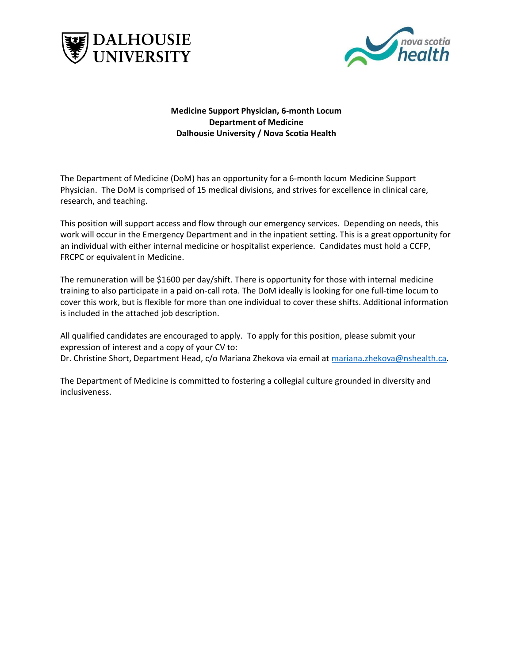



**Medicine Support Physician, 6-month Locum Department of Medicine Dalhousie University / Nova Scotia Health**

The Department of Medicine (DoM) has an opportunity for a 6-month locum Medicine Support Physician. The DoM is comprised of 15 medical divisions, and strives for excellence in clinical care, research, and teaching.

This position will support access and flow through our emergency services. Depending on needs, this work will occur in the Emergency Department and in the inpatient setting. This is a great opportunity for an individual with either internal medicine or hospitalist experience. Candidates must hold a CCFP, FRCPC or equivalent in Medicine.

The remuneration will be \$1600 per day/shift. There is opportunity for those with internal medicine training to also participate in a paid on-call rota. The DoM ideally is looking for one full-time locum to cover this work, but is flexible for more than one individual to cover these shifts. Additional information is included in the attached job description.

All qualified candidates are encouraged to apply. To apply for this position, please submit your expression of interest and a copy of your CV to: Dr. Christine Short, Department Head, c/o Mariana Zhekova via email at [mariana.zhekova@nshealth.ca.](mailto:mariana.zhekova@nshealth.ca)

The Department of Medicine is committed to fostering a collegial culture grounded in diversity and inclusiveness.